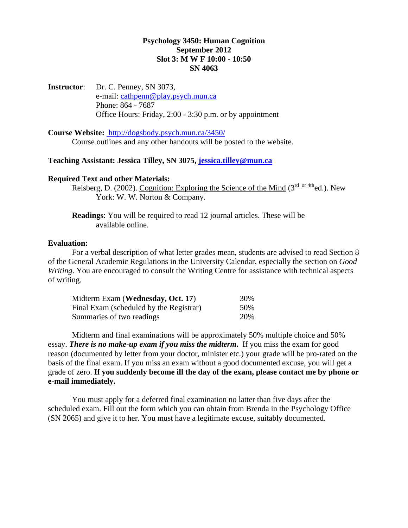# **Psychology 3450: Human Cognition September 2012 Slot 3: M W F 10:00 - 10:50 SN 4063**

**Instructor**: Dr. C. Penney, SN 3073, e-mail: [cathpenn@play.psych.mun.ca](mailto:cathpenn@play.psych.mun.ca) Phone: 864 - 7687 Office Hours: Friday, 2:00 - 3:30 p.m. or by appointment

**Course Website:** <http://dogsbody.psych.mun.ca/3450/> Course outlines and any other handouts will be posted to the website.

**Teaching Assistant: Jessica Tilley, SN 3075, [jessica.tilley@mun.ca](mailto:jessica.tilley@mun.ca)** 

## **Required Text and other Materials:**

Reisberg, D. (2002). Cognition: Exploring the Science of the Mind  $(3<sup>rd</sup> or 4th)$ ed.). New York: W. W. Norton & Company.

**Readings**: You will be required to read 12 journal articles. These will be available online.

### **Evaluation:**

For a verbal description of what letter grades mean, students are advised to read Section 8 of the General Academic Regulations in the University Calendar, especially the section on *Good Writing*. You are encouraged to consult the Writing Centre for assistance with technical aspects of writing.

| Midterm Exam ( <b>Wednesday</b> , <b>Oct. 17</b> ) | 30%  |
|----------------------------------------------------|------|
| Final Exam (scheduled by the Registrar)            | 50%  |
| Summaries of two readings                          | 20\% |

Midterm and final examinations will be approximately 50% multiple choice and 50% essay. *There is no make-up exam if you miss the midterm***.** If you miss the exam for good reason (documented by letter from your doctor, minister etc.) your grade will be pro-rated on the basis of the final exam. If you miss an exam without a good documented excuse, you will get a grade of zero. **If you suddenly become ill the day of the exam, please contact me by phone or e-mail immediately.**

You must apply for a deferred final examination no latter than five days after the scheduled exam. Fill out the form which you can obtain from Brenda in the Psychology Office (SN 2065) and give it to her. You must have a legitimate excuse, suitably documented.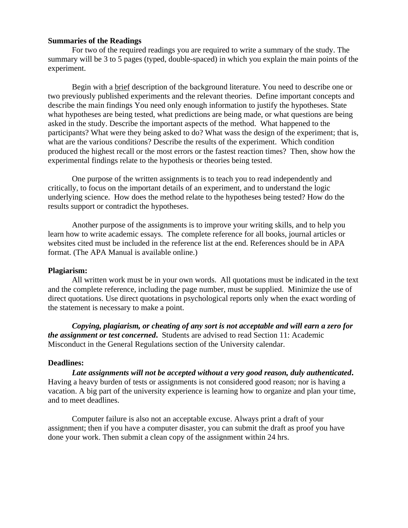### **Summaries of the Readings**

For two of the required readings you are required to write a summary of the study. The summary will be 3 to 5 pages (typed, double-spaced) in which you explain the main points of the experiment.

Begin with a brief description of the background literature. You need to describe one or two previously published experiments and the relevant theories. Define important concepts and describe the main findings You need only enough information to justify the hypotheses. State what hypotheses are being tested, what predictions are being made, or what questions are being asked in the study. Describe the important aspects of the method. What happened to the participants? What were they being asked to do? What wass the design of the experiment; that is, what are the various conditions? Describe the results of the experiment. Which condition produced the highest recall or the most errors or the fastest reaction times? Then, show how the experimental findings relate to the hypothesis or theories being tested.

One purpose of the written assignments is to teach you to read independently and critically, to focus on the important details of an experiment, and to understand the logic underlying science. How does the method relate to the hypotheses being tested? How do the results support or contradict the hypotheses.

Another purpose of the assignments is to improve your writing skills, and to help you learn how to write academic essays. The complete reference for all books, journal articles or websites cited must be included in the reference list at the end. References should be in APA format. (The APA Manual is available online.)

#### **Plagiarism:**

All written work must be in your own words. All quotations must be indicated in the text and the complete reference, including the page number, must be supplied. Minimize the use of direct quotations. Use direct quotations in psychological reports only when the exact wording of the statement is necessary to make a point.

*Copying, plagiarism, or cheating of any sort is not acceptable and will earn a zero for the assignment or test concerned***.** Students are advised to read Section 11: Academic Misconduct in the General Regulations section of the University calendar.

#### **Deadlines:**

*Late assignments will not be accepted without a very good reason, duly authenticated***.** Having a heavy burden of tests or assignments is not considered good reason; nor is having a vacation. A big part of the university experience is learning how to organize and plan your time, and to meet deadlines.

Computer failure is also not an acceptable excuse. Always print a draft of your assignment; then if you have a computer disaster, you can submit the draft as proof you have done your work. Then submit a clean copy of the assignment within 24 hrs.